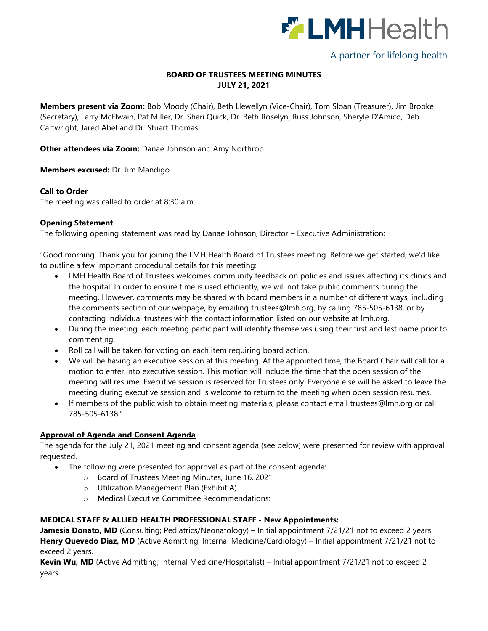

# A partner for lifelong health

# **BOARD OF TRUSTEES MEETING MINUTES JULY 21, 2021**

**Members present via Zoom:** Bob Moody (Chair), Beth Llewellyn (Vice-Chair), Tom Sloan (Treasurer), Jim Brooke (Secretary), Larry McElwain, Pat Miller, Dr. Shari Quick, Dr. Beth Roselyn, Russ Johnson, Sheryle D'Amico, Deb Cartwright, Jared Abel and Dr. Stuart Thomas

**Other attendees via Zoom:** Danae Johnson and Amy Northrop

**Members excused:** Dr. Jim Mandigo

## **Call to Order**

The meeting was called to order at 8:30 a.m.

## **Opening Statement**

The following opening statement was read by Danae Johnson, Director – Executive Administration:

"Good morning. Thank you for joining the LMH Health Board of Trustees meeting. Before we get started, we'd like to outline a few important procedural details for this meeting:

- LMH Health Board of Trustees welcomes community feedback on policies and issues affecting its clinics and the hospital. In order to ensure time is used efficiently, we will not take public comments during the meeting. However, comments may be shared with board members in a number of different ways, including the comments section of our webpage, by emailing [trustees@lmh.org,](mailto:trustees@lmh.org) by calling 785-505-6138, or by contacting individual trustees with the contact information listed on our website at lmh.org.
- During the meeting, each meeting participant will identify themselves using their first and last name prior to commenting.
- Roll call will be taken for voting on each item requiring board action.
- We will be having an executive session at this meeting. At the appointed time, the Board Chair will call for a motion to enter into executive session. This motion will include the time that the open session of the meeting will resume. Executive session is reserved for Trustees only. Everyone else will be asked to leave the meeting during executive session and is welcome to return to the meeting when open session resumes.
- If members of the public wish to obtain meeting materials, please contact email [trustees@lmh.org](mailto:trustees@lmh.org) or call 785-505-6138."

## **Approval of Agenda and Consent Agenda**

The agenda for the July 21, 2021 meeting and consent agenda (see below) were presented for review with approval requested.

- The following were presented for approval as part of the consent agenda:
	- o Board of Trustees Meeting Minutes, June 16, 2021
	- o Utilization Management Plan (Exhibit A)
	- o Medical Executive Committee Recommendations:

## **MEDICAL STAFF & ALLIED HEALTH PROFESSIONAL STAFF - New Appointments:**

**Jamesia Donato, MD** (Consulting; Pediatrics/Neonatology) – Initial appointment 7/21/21 not to exceed 2 years. **Henry Quevedo Diaz, MD** (Active Admitting; Internal Medicine/Cardiology) – Initial appointment 7/21/21 not to exceed 2 years.

**Kevin Wu, MD** (Active Admitting; Internal Medicine/Hospitalist) – Initial appointment 7/21/21 not to exceed 2 years.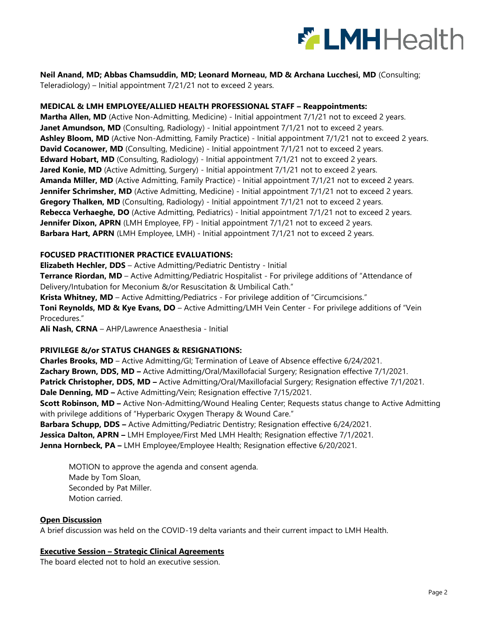

# **Neil Anand, MD; Abbas Chamsuddin, MD; Leonard Morneau, MD & Archana Lucchesi, MD** (Consulting;

Teleradiology) – Initial appointment 7/21/21 not to exceed 2 years.

# **MEDICAL & LMH EMPLOYEE/ALLIED HEALTH PROFESSIONAL STAFF – Reappointments:**

**Martha Allen, MD** (Active Non-Admitting, Medicine) - Initial appointment 7/1/21 not to exceed 2 years. **Janet Amundson, MD** (Consulting, Radiology) - Initial appointment 7/1/21 not to exceed 2 years. Ashley Bloom, MD (Active Non-Admitting, Family Practice) - Initial appointment 7/1/21 not to exceed 2 years. **David Cocanower, MD** (Consulting, Medicine) - Initial appointment 7/1/21 not to exceed 2 years. **Edward Hobart, MD** (Consulting, Radiology) - Initial appointment 7/1/21 not to exceed 2 years. Jared Konie, MD (Active Admitting, Surgery) - Initial appointment 7/1/21 not to exceed 2 years. **Amanda Miller, MD** (Active Admitting, Family Practice) - Initial appointment 7/1/21 not to exceed 2 years. **Jennifer Schrimsher, MD** (Active Admitting, Medicine) - Initial appointment 7/1/21 not to exceed 2 years. **Gregory Thalken, MD** (Consulting, Radiology) - Initial appointment 7/1/21 not to exceed 2 years. **Rebecca Verhaeghe, DO** (Active Admitting, Pediatrics) - Initial appointment 7/1/21 not to exceed 2 years. **Jennifer Dixon, APRN** (LMH Employee, FP) - Initial appointment 7/1/21 not to exceed 2 years. **Barbara Hart, APRN** (LMH Employee, LMH) - Initial appointment 7/1/21 not to exceed 2 years.

## **FOCUSED PRACTITIONER PRACTICE EVALUATIONS:**

**Elizabeth Hechler, DDS** – Active Admitting/Pediatric Dentistry - Initial **Terrance Riordan, MD** – Active Admitting/Pediatric Hospitalist - For privilege additions of "Attendance of Delivery/Intubation for Meconium &/or Resuscitation & Umbilical Cath." **Krista Whitney, MD** – Active Admitting/Pediatrics - For privilege addition of "Circumcisions." **Toni Reynolds, MD & Kye Evans, DO** – Active Admitting/LMH Vein Center - For privilege additions of "Vein Procedures."

**Ali Nash, CRNA** – AHP/Lawrence Anaesthesia - Initial

# **PRIVILEGE &/or STATUS CHANGES & RESIGNATIONS:**

**Charles Brooks, MD** – Active Admitting/GI; Termination of Leave of Absence effective 6/24/2021. **Zachary Brown, DDS, MD –** Active Admitting/Oral/Maxillofacial Surgery; Resignation effective 7/1/2021. **Patrick Christopher, DDS, MD –** Active Admitting/Oral/Maxillofacial Surgery; Resignation effective 7/1/2021. **Dale Denning, MD –** Active Admitting/Vein; Resignation effective 7/15/2021. **Scott Robinson, MD –** Active Non-Admitting/Wound Healing Center; Requests status change to Active Admitting with privilege additions of "Hyperbaric Oxygen Therapy & Wound Care." **Barbara Schupp, DDS –** Active Admitting/Pediatric Dentistry; Resignation effective 6/24/2021. **Jessica Dalton, APRN –** LMH Employee/First Med LMH Health; Resignation effective 7/1/2021. **Jenna Hornbeck, PA –** LMH Employee/Employee Health; Resignation effective 6/20/2021.

MOTION to approve the agenda and consent agenda. Made by Tom Sloan, Seconded by Pat Miller. Motion carried.

## **Open Discussion**

A brief discussion was held on the COVID-19 delta variants and their current impact to LMH Health.

## **Executive Session – Strategic Clinical Agreements**

The board elected not to hold an executive session.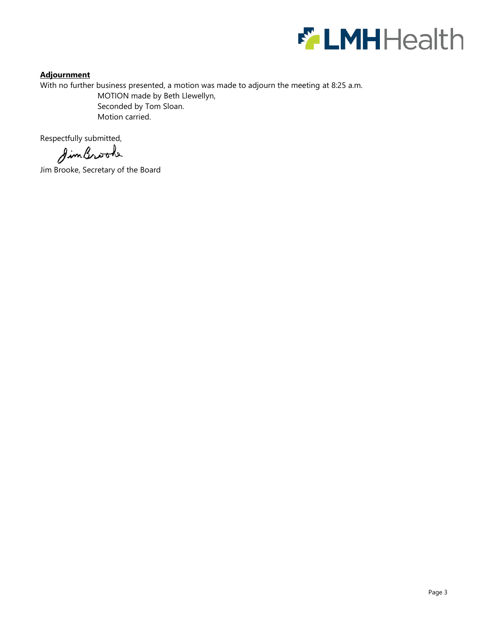

# **Adjournment**

With no further business presented, a motion was made to adjourn the meeting at 8:25 a.m.

MOTION made by Beth Llewellyn, Seconded by Tom Sloan. Motion carried.

Respectfully submitted,

SimBrook

Jim Brooke, Secretary of the Board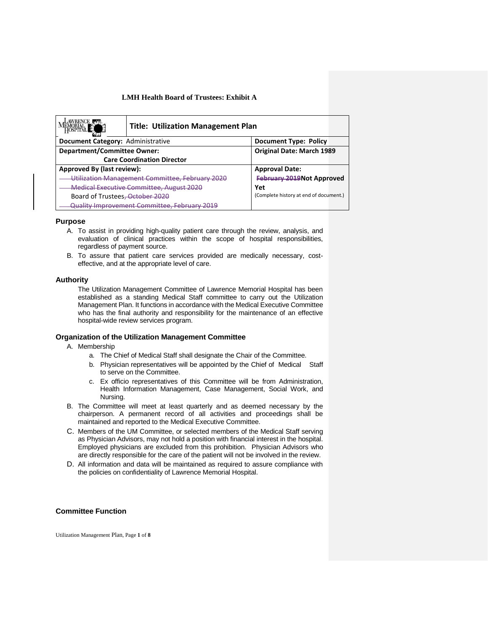| <b>Title: Utilization Management Plan</b>       |                                        |
|-------------------------------------------------|----------------------------------------|
| Document Category: Administrative               | <b>Document Type: Policy</b>           |
| Department/Committee Owner:                     | <b>Original Date: March 1989</b>       |
| <b>Care Coordination Director</b>               |                                        |
| Approved By (last review):                      | <b>Approval Date:</b>                  |
| Utilization Management Committee, February 2020 | <b>February 2019Not Approved</b>       |
| Medical Executive Committee, August 2020        | Yet                                    |
| Board of Trustees, October 2020                 | (Complete history at end of document.) |
| Quality Improvement Committee, February 2019    |                                        |

#### **Purpose**

- A. To assist in providing high-quality patient care through the review, analysis, and evaluation of clinical practices within the scope of hospital responsibilities, regardless of payment source.
- B. To assure that patient care services provided are medically necessary, costeffective, and at the appropriate level of care.

#### **Authority**

The Utilization Management Committee of Lawrence Memorial Hospital has been established as a standing Medical Staff committee to carry out the Utilization Management Plan. It functions in accordance with the Medical Executive Committee who has the final authority and responsibility for the maintenance of an effective hospital-wide review services program.

### **Organization of the Utilization Management Committee**

- A. Membership
	- a. The Chief of Medical Staff shall designate the Chair of the Committee.
	- b. Physician representatives will be appointed by the Chief of Medical Staff to serve on the Committee.
	- c. Ex officio representatives of this Committee will be from Administration, Health Information Management, Case Management, Social Work, and Nursing.
- B. The Committee will meet at least quarterly and as deemed necessary by the chairperson. A permanent record of all activities and proceedings shall be maintained and reported to the Medical Executive Committee.
- C. Members of the UM Committee, or selected members of the Medical Staff serving as Physician Advisors, may not hold a position with financial interest in the hospital. Employed physicians are excluded from this prohibition. Physician Advisors who are directly responsible for the care of the patient will not be involved in the review.
- D. All information and data will be maintained as required to assure compliance with the policies on confidentiality of Lawrence Memorial Hospital.

#### **Committee Function**

Utilization Management Plan, Page **1** of **8**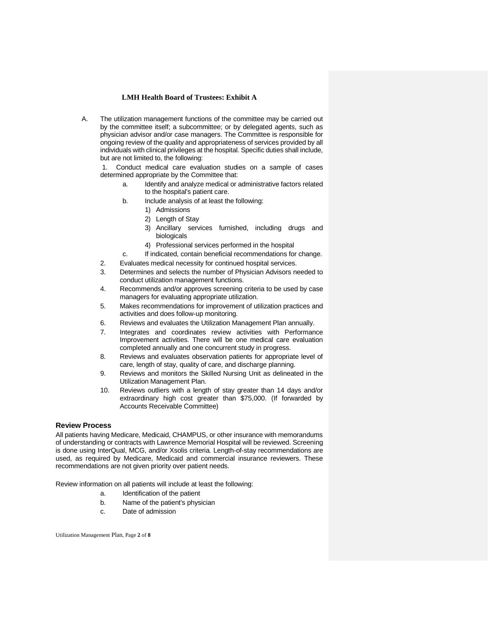A. The utilization management functions of the committee may be carried out by the committee itself; a subcommittee; or by delegated agents, such as physician advisor and/or case managers. The Committee is responsible for ongoing review of the quality and appropriateness of services provided by all individuals with clinical privileges at the hospital. Specific duties shall include, but are not limited to, the following:

Conduct medical care evaluation studies on a sample of cases determined appropriate by the Committee that:

- a. Identify and analyze medical or administrative factors related to the hospital's patient care.
- b. Include analysis of at least the following:
	- 1) Admissions
	- 2) Length of Stay
	- 3) Ancillary services furnished, including drugs and biologicals
	- 4) Professional services performed in the hospital
- c. If indicated, contain beneficial recommendations for change.
- 2. Evaluates medical necessity for continued hospital services.
- 3. Determines and selects the number of Physician Advisors needed to conduct utilization management functions.
- 4. Recommends and/or approves screening criteria to be used by case managers for evaluating appropriate utilization.
- 5. Makes recommendations for improvement of utilization practices and activities and does follow-up monitoring.
- 6. Reviews and evaluates the Utilization Management Plan annually.
- 7. Integrates and coordinates review activities with Performance Improvement activities. There will be one medical care evaluation completed annually and one concurrent study in progress.
- 8. Reviews and evaluates observation patients for appropriate level of care, length of stay, quality of care, and discharge planning.
- 9. Reviews and monitors the Skilled Nursing Unit as delineated in the Utilization Management Plan.
- 10. Reviews outliers with a length of stay greater than 14 days and/or extraordinary high cost greater than \$75,000. (If forwarded by Accounts Receivable Committee)

#### **Review Process**

All patients having Medicare, Medicaid, CHAMPUS, or other insurance with memorandums of understanding or contracts with Lawrence Memorial Hospital will be reviewed. Screening is done using InterQual, MCG, and/or Xsolis criteria*.* Length-of-stay recommendations are used, as required by Medicare, Medicaid and commercial insurance reviewers. These recommendations are not given priority over patient needs.

Review information on all patients will include at least the following:

- a. Identification of the patient
- b. Name of the patient's physician
- c. Date of admission

Utilization Management Plan, Page **2** of **8**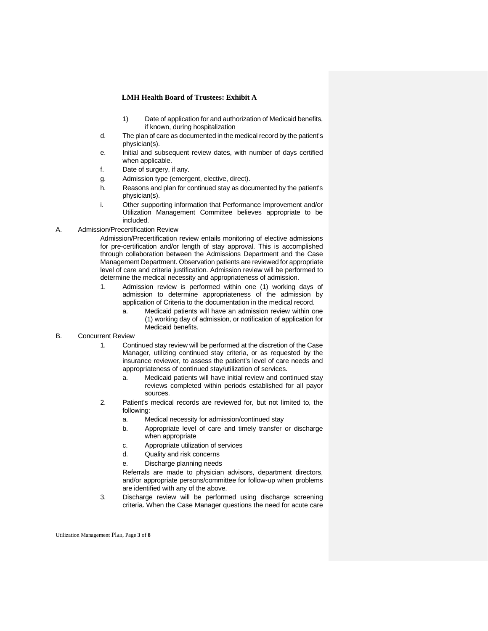- 1) Date of application for and authorization of Medicaid benefits, if known, during hospitalization
- d. The plan of care as documented in the medical record by the patient's physician(s).
- e. Initial and subsequent review dates, with number of days certified when applicable.
- f. Date of surgery, if any.
- g. Admission type (emergent, elective, direct).
- h. Reasons and plan for continued stay as documented by the patient's physician(s).
- i. Other supporting information that Performance Improvement and/or Utilization Management Committee believes appropriate to be included.
- A. Admission/Precertification Review

Admission/Precertification review entails monitoring of elective admissions for pre-certification and/or length of stay approval. This is accomplished through collaboration between the Admissions Department and the Case Management Department. Observation patients are reviewed for appropriate level of care and criteria justification. Admission review will be performed to determine the medical necessity and appropriateness of admission.

- 1. Admission review is performed within one (1) working days of admission to determine appropriateness of the admission by application of Criteria to the documentation in the medical record.
	- a. Medicaid patients will have an admission review within one (1) working day of admission, or notification of application for Medicaid benefits.

#### B. Concurrent Review

- 1. Continued stay review will be performed at the discretion of the Case Manager, utilizing continued stay criteria, or as requested by the insurance reviewer, to assess the patient's level of care needs and appropriateness of continued stay/utilization of services.
	- a. Medicaid patients will have initial review and continued stay reviews completed within periods established for all payor sources.
- 2. Patient's medical records are reviewed for, but not limited to, the following:
	- a. Medical necessity for admission/continued stay
	- b. Appropriate level of care and timely transfer or discharge when appropriate
	- c. Appropriate utilization of services
	- d. Quality and risk concerns
	- e. Discharge planning needs

Referrals are made to physician advisors, department directors, and/or appropriate persons/committee for follow-up when problems are identified with any of the above.

3. Discharge review will be performed using discharge screening criteria*.* When the Case Manager questions the need for acute care

Utilization Management Plan, Page **3** of **8**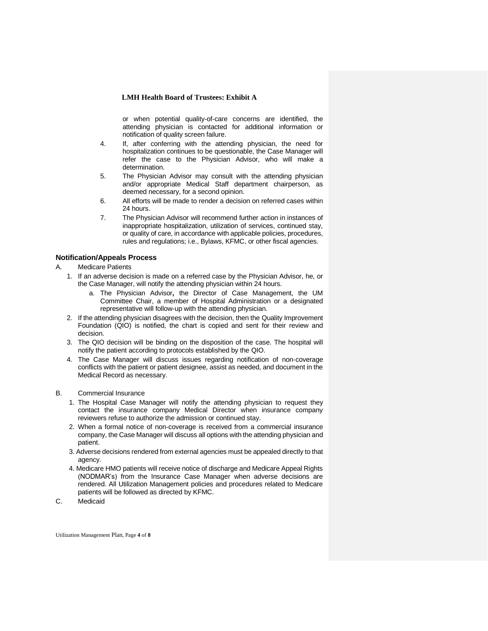or when potential quality-of-care concerns are identified, the attending physician is contacted for additional information or notification of quality screen failure.

- 4. If, after conferring with the attending physician, the need for hospitalization continues to be questionable, the Case Manager will refer the case to the Physician Advisor, who will make a determination.
- 5. The Physician Advisor may consult with the attending physician and/or appropriate Medical Staff department chairperson, as deemed necessary, for a second opinion.
- 6. All efforts will be made to render a decision on referred cases within 24 hours.
- 7. The Physician Advisor will recommend further action in instances of inappropriate hospitalization, utilization of services, continued stay, or quality of care, in accordance with applicable policies, procedures, rules and regulations; i.e., Bylaws, KFMC, or other fiscal agencies.

#### **Notification/Appeals Process**

- A. Medicare Patients
	- 1. If an adverse decision is made on a referred case by the Physician Advisor, he, or the Case Manager, will notify the attending physician within 24 hours.
		- a. The Physician Advisor**,** the Director of Case Management, the UM Committee Chair, a member of Hospital Administration or a designated representative will follow-up with the attending physician.
	- 2. If the attending physician disagrees with the decision, then the Quality Improvement Foundation (QIO) is notified, the chart is copied and sent for their review and decision.
	- 3. The QIO decision will be binding on the disposition of the case. The hospital will notify the patient according to protocols established by the QIO.
	- 4. The Case Manager will discuss issues regarding notification of non-coverage conflicts with the patient or patient designee, assist as needed, and document in the Medical Record as necessary.
- B. Commercial Insurance
	- 1. The Hospital Case Manager will notify the attending physician to request they contact the insurance company Medical Director when insurance company reviewers refuse to authorize the admission or continued stay.
	- 2. When a formal notice of non-coverage is received from a commercial insurance company, the Case Manager will discuss all options with the attending physician and patient.
	- 3. Adverse decisions rendered from external agencies must be appealed directly to that agency.
	- 4. Medicare HMO patients will receive notice of discharge and Medicare Appeal Rights (NODMAR's) from the Insurance Case Manager when adverse decisions are rendered. All Utilization Management policies and procedures related to Medicare patients will be followed as directed by KFMC.
- C. Medicaid

Utilization Management Plan, Page **4** of **8**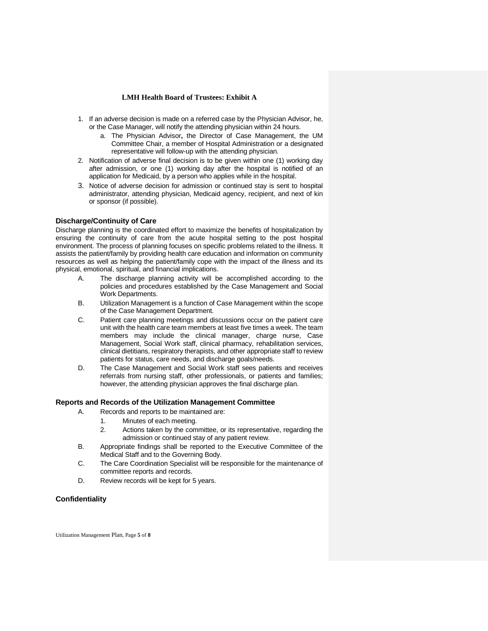- 1. If an adverse decision is made on a referred case by the Physician Advisor, he, or the Case Manager, will notify the attending physician within 24 hours.
	- a. The Physician Advisor**,** the Director of Case Management, the UM Committee Chair, a member of Hospital Administration or a designated representative will follow-up with the attending physician.
- 2. Notification of adverse final decision is to be given within one (1) working day after admission, or one (1) working day after the hospital is notified of an application for Medicaid, by a person who applies while in the hospital.
- 3. Notice of adverse decision for admission or continued stay is sent to hospital administrator, attending physician, Medicaid agency, recipient, and next of kin or sponsor (if possible).

## **Discharge/Continuity of Care**

Discharge planning is the coordinated effort to maximize the benefits of hospitalization by ensuring the continuity of care from the acute hospital setting to the post hospital environment. The process of planning focuses on specific problems related to the illness. It assists the patient/family by providing health care education and information on community resources as well as helping the patient/family cope with the impact of the illness and its physical, emotional, spiritual, and financial implications.

- A. The discharge planning activity will be accomplished according to the policies and procedures established by the Case Management and Social Work Departments.
- B. Utilization Management is a function of Case Management within the scope of the Case Management Department.
- C. Patient care planning meetings and discussions occur on the patient care unit with the health care team members at least five times a week. The team members may include the clinical manager, charge nurse, Case Management, Social Work staff, clinical pharmacy, rehabilitation services, clinical dietitians, respiratory therapists, and other appropriate staff to review patients for status, care needs, and discharge goals/needs.
- D. The Case Management and Social Work staff sees patients and receives referrals from nursing staff, other professionals, or patients and families; however, the attending physician approves the final discharge plan.

## **Reports and Records of the Utilization Management Committee**

- A. Records and reports to be maintained are:
	- 1. Minutes of each meeting.
	- 2. Actions taken by the committee, or its representative, regarding the admission or continued stay of any patient review.
- B. Appropriate findings shall be reported to the Executive Committee of the Medical Staff and to the Governing Body.
- C. The Care Coordination Specialist will be responsible for the maintenance of committee reports and records.
- D. Review records will be kept for 5 years.

## **Confidentiality**

Utilization Management Plan, Page **5** of **8**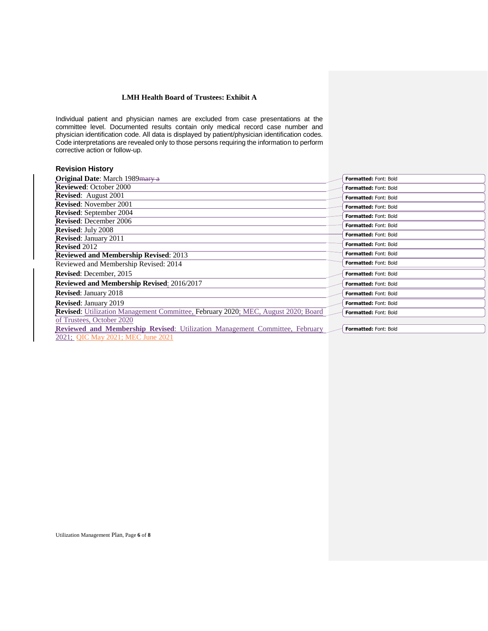Individual patient and physician names are excluded from case presentations at the committee level. Documented results contain only medical record case number and physician identification code. All data is displayed by patient/physician identification codes. Code interpretations are revealed only to those persons requiring the information to perform corrective action or follow-up.

| <b>Revision History</b>                                                                  |                              |
|------------------------------------------------------------------------------------------|------------------------------|
| <b>Original Date:</b> March 1989 mary a                                                  | <b>Formatted: Font: Bold</b> |
| <b>Reviewed: October 2000</b>                                                            | <b>Formatted: Font: Bold</b> |
| <b>Revised:</b> August 2001                                                              | <b>Formatted: Font: Bold</b> |
| <b>Revised:</b> November 2001                                                            | Formatted: Font: Bold        |
| Revised: September 2004                                                                  | <b>Formatted: Font: Bold</b> |
| <b>Revised:</b> December 2006                                                            | <b>Formatted: Font: Bold</b> |
| Revised: July 2008                                                                       | Formatted: Font: Bold        |
| <b>Revised: January 2011</b>                                                             |                              |
| <b>Revised 2012</b>                                                                      | <b>Formatted: Font: Bold</b> |
| <b>Reviewed and Membership Revised: 2013</b>                                             | Formatted: Font: Bold        |
| Reviewed and Membership Revised: 2014                                                    | Formatted: Font: Bold        |
| <b>Revised:</b> December, 2015                                                           | <b>Formatted: Font: Bold</b> |
| Reviewed and Membership Revised: 2016/2017                                               | <b>Formatted: Font: Bold</b> |
| <b>Revised: January 2018</b>                                                             | <b>Formatted: Font: Bold</b> |
| <b>Revised: January 2019</b>                                                             | <b>Formatted: Font: Bold</b> |
| <b>Revised:</b> Utilization Management Committee, February 2020; MEC, August 2020; Board | Formatted: Font: Bold        |
| of Trustees, October 2020                                                                |                              |
| <b>Reviewed and Membership Revised:</b> Utilization Management Committee, February       | Formatted: Font: Bold        |
| 2021; QIC May 2021; MEC June 2021                                                        |                              |

Utilization Management Plan, Page **6** of **8**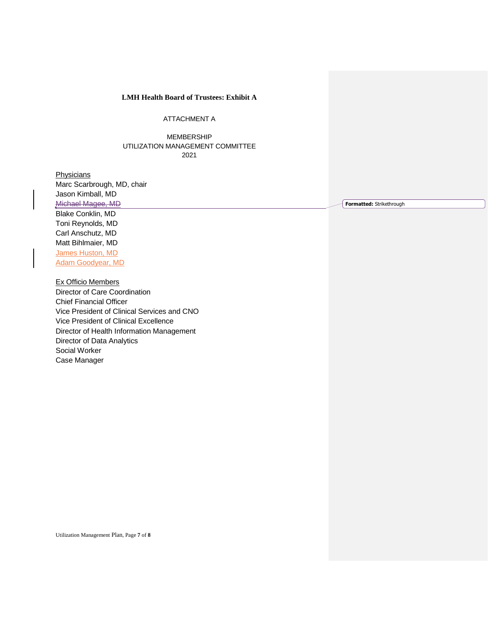ATTACHMENT A

MEMBERSHIP UTILIZATION MANAGEMENT COMMITTEE 2021

**Physicians** Marc Scarbrough, MD, chair Jason Kimball, MD Michael Magee, MD Blake Conklin, MD Toni Reynolds, MD Carl Anschutz, MD Matt Bihlmaier, MD James Huston, MD Adam Goodyear, MD

Ex Officio Members

Director of Care Coordination Chief Financial Officer Vice President of Clinical Services and CNO Vice President of Clinical Excellence Director of Health Information Management Director of Data Analytics Social Worker Case Manager

**Formatted:** Strikethrough